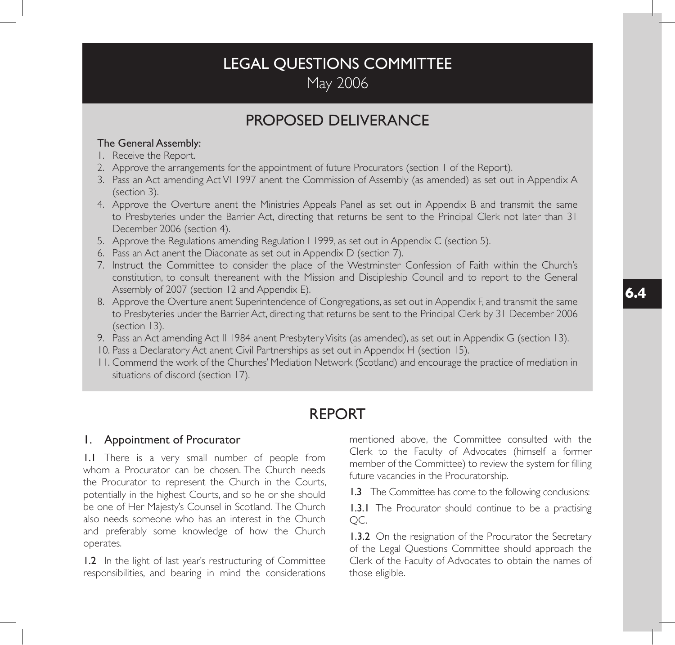# LEGAL QUESTIONS COMMITTEE May 2006

# PROPOSED DELIVERANCE

### The General Assembly:

- 1. Receive the Report.
- 2. Approve the arrangements for the appointment of future Procurators (section 1 of the Report).
- 3. Pass an Act amending Act VI 1997 anent the Commission of Assembly (as amended) as set out in Appendix A (section 3).
- 4. Approve the Overture anent the Ministries Appeals Panel as set out in Appendix B and transmit the same to Presbyteries under the Barrier Act, directing that returns be sent to the Principal Clerk not later than 31 December 2006 (section 4).
- 5. Approve the Regulations amending Regulation I 1999, as set out in Appendix C (section 5).
- 6. Pass an Act anent the Diaconate as set out in Appendix D (section 7).
- 7. Instruct the Committee to consider the place of the Westminster Confession of Faith within the Church's constitution, to consult thereanent with the Mission and Discipleship Council and to report to the General Assembly of 2007 (section 12 and Appendix E).
- 8. Approve the Overture anent Superintendence of Congregations, as set out in Appendix F, and transmit the same to Presbyteries under the Barrier Act, directing that returns be sent to the Principal Clerk by 31 December 2006 (section 13).
- 9. Pass an Act amending Act II 1984 anent Presbytery Visits (as amended), as set out in Appendix G (section 13).
- 10. Pass a Declaratory Act anent Civil Partnerships as set out in Appendix H (section 15).
- 11. Commend the work of the Churches' Mediation Network (Scotland) and encourage the practice of mediation in situations of discord (section 17).

# REPORT

### 1. Appointment of Procurator

1.1 There is a very small number of people from whom a Procurator can be chosen. The Church needs the Procurator to represent the Church in the Courts, potentially in the highest Courts, and so he or she should be one of Her Majesty's Counsel in Scotland. The Church also needs someone who has an interest in the Church and preferably some knowledge of how the Church operates.

1.2 In the light of last year's restructuring of Committee responsibilities, and bearing in mind the considerations mentioned above, the Committee consulted with the Clerk to the Faculty of Advocates (himself a former member of the Committee) to review the system for filling future vacancies in the Procuratorship.

1.3 The Committee has come to the following conclusions:

1.3.1 The Procurator should continue to be a practising QC.

**1.3.2** On the resignation of the Procurator the Secretary of the Legal Questions Committee should approach the Clerk of the Faculty of Advocates to obtain the names of those eligible.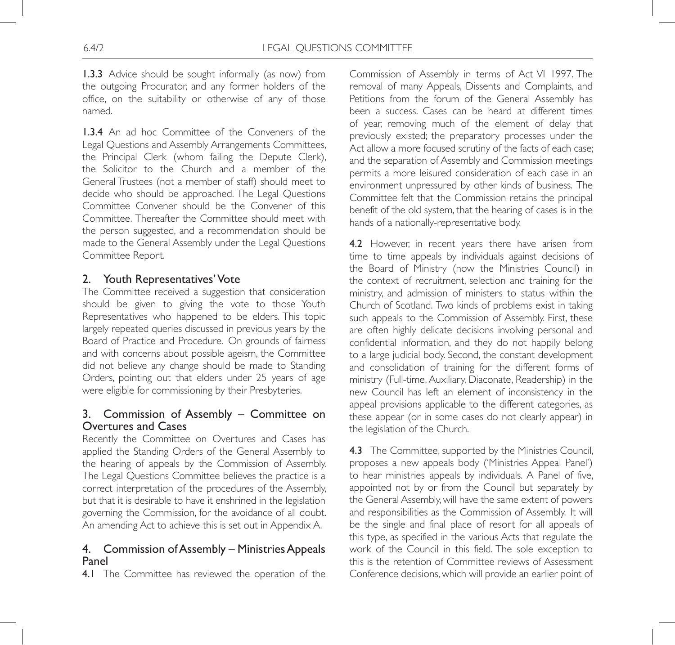1.3.3 Advice should be sought informally (as now) from the outgoing Procurator, and any former holders of the office, on the suitability or otherwise of any of those named.

1.3.4 An ad hoc Committee of the Conveners of the Legal Questions and Assembly Arrangements Committees, the Principal Clerk (whom failing the Depute Clerk), the Solicitor to the Church and a member of the General Trustees (not a member of staff) should meet to decide who should be approached. The Legal Questions Committee Convener should be the Convener of this Committee. Thereafter the Committee should meet with the person suggested, and a recommendation should be made to the General Assembly under the Legal Questions Committee Report.

### 2. Youth Representatives' Vote

The Committee received a suggestion that consideration should be given to giving the vote to those Youth Representatives who happened to be elders. This topic largely repeated queries discussed in previous years by the Board of Practice and Procedure. On grounds of fairness and with concerns about possible ageism, the Committee did not believe any change should be made to Standing Orders, pointing out that elders under 25 years of age were eligible for commissioning by their Presbyteries.

## 3. Commission of Assembly – Committee on Overtures and Cases

Recently the Committee on Overtures and Cases has applied the Standing Orders of the General Assembly to the hearing of appeals by the Commission of Assembly. The Legal Questions Committee believes the practice is a correct interpretation of the procedures of the Assembly, but that it is desirable to have it enshrined in the legislation governing the Commission, for the avoidance of all doubt. An amending Act to achieve this is set out in Appendix A.

### 4. Commission of Assembly – Ministries Appeals Panel

4.1 The Committee has reviewed the operation of the

Commission of Assembly in terms of Act VI 1997. The removal of many Appeals, Dissents and Complaints, and Petitions from the forum of the General Assembly has been a success. Cases can be heard at different times of year, removing much of the element of delay that previously existed; the preparatory processes under the Act allow a more focused scrutiny of the facts of each case; and the separation of Assembly and Commission meetings permits a more leisured consideration of each case in an environment unpressured by other kinds of business. The Committee felt that the Commission retains the principal benefit of the old system, that the hearing of cases is in the hands of a nationally-representative body.

4.2 However, in recent years there have arisen from time to time appeals by individuals against decisions of the Board of Ministry (now the Ministries Council) in the context of recruitment, selection and training for the ministry, and admission of ministers to status within the Church of Scotland. Two kinds of problems exist in taking such appeals to the Commission of Assembly. First, these are often highly delicate decisions involving personal and confidential information, and they do not happily belong to a large judicial body. Second, the constant development and consolidation of training for the different forms of ministry (Full-time, Auxiliary, Diaconate, Readership) in the new Council has left an element of inconsistency in the appeal provisions applicable to the different categories, as these appear (or in some cases do not clearly appear) in the legislation of the Church.

4.3 The Committee, supported by the Ministries Council, proposes a new appeals body ('Ministries Appeal Panel') to hear ministries appeals by individuals. A Panel of five, appointed not by or from the Council but separately by the General Assembly, will have the same extent of powers and responsibilities as the Commission of Assembly. It will be the single and final place of resort for all appeals of this type, as specified in the various Acts that regulate the work of the Council in this field. The sole exception to this is the retention of Committee reviews of Assessment Conference decisions, which will provide an earlier point of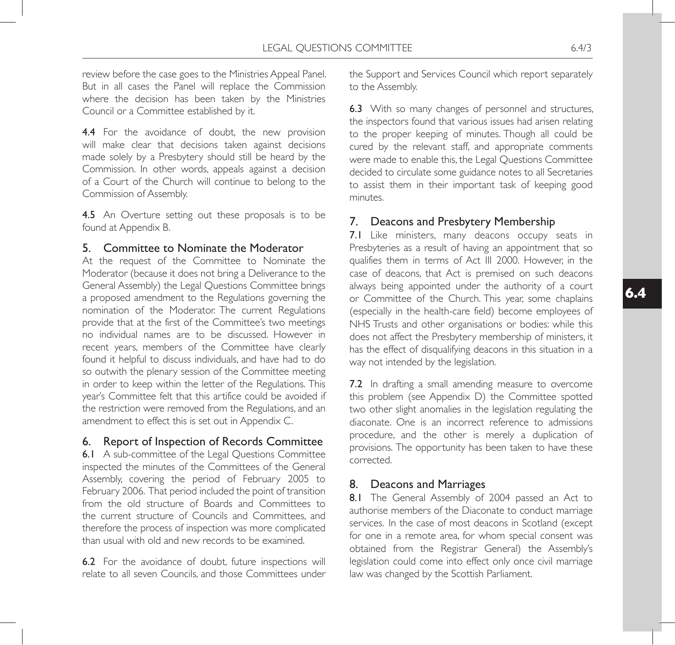review before the case goes to the Ministries Appeal Panel. But in all cases the Panel will replace the Commission where the decision has been taken by the Ministries Council or a Committee established by it.

4.4 For the avoidance of doubt, the new provision will make clear that decisions taken against decisions made solely by a Presbytery should still be heard by the Commission. In other words, appeals against a decision of a Court of the Church will continue to belong to the Commission of Assembly.

4.5 An Overture setting out these proposals is to be found at Appendix B.

### 5. Committee to Nominate the Moderator

At the request of the Committee to Nominate the Moderator (because it does not bring a Deliverance to the General Assembly) the Legal Questions Committee brings a proposed amendment to the Regulations governing the nomination of the Moderator. The current Regulations provide that at the first of the Committee's two meetings no individual names are to be discussed. However in recent years, members of the Committee have clearly found it helpful to discuss individuals, and have had to do so outwith the plenary session of the Committee meeting in order to keep within the letter of the Regulations. This year's Committee felt that this artifice could be avoided if the restriction were removed from the Regulations, and an amendment to effect this is set out in Appendix C.

### 6. Report of Inspection of Records Committee

6.1 A sub-committee of the Legal Questions Committee inspected the minutes of the Committees of the General Assembly, covering the period of February 2005 to February 2006. That period included the point of transition from the old structure of Boards and Committees to the current structure of Councils and Committees, and therefore the process of inspection was more complicated than usual with old and new records to be examined.

6.2 For the avoidance of doubt, future inspections will relate to all seven Councils, and those Committees under the Support and Services Council which report separately to the Assembly.

6.3 With so many changes of personnel and structures, the inspectors found that various issues had arisen relating to the proper keeping of minutes. Though all could be cured by the relevant staff, and appropriate comments were made to enable this, the Legal Questions Committee decided to circulate some guidance notes to all Secretaries to assist them in their important task of keeping good minutes.

## 7. Deacons and Presbytery Membership

7.1 Like ministers, many deacons occupy seats in Presbyteries as a result of having an appointment that so qualifies them in terms of Act III 2000. However, in the case of deacons, that Act is premised on such deacons always being appointed under the authority of a court or Committee of the Church. This year, some chaplains (especially in the health-care field) become employees of NHS Trusts and other organisations or bodies: while this does not affect the Presbytery membership of ministers, it has the effect of disqualifying deacons in this situation in a way not intended by the legislation.

7.2 In drafting a small amending measure to overcome this problem (see Appendix D) the Committee spotted two other slight anomalies in the legislation regulating the diaconate. One is an incorrect reference to admissions procedure, and the other is merely a duplication of provisions. The opportunity has been taken to have these corrected.

### 8. Deacons and Marriages

8.1 The General Assembly of 2004 passed an Act to authorise members of the Diaconate to conduct marriage services. In the case of most deacons in Scotland (except for one in a remote area, for whom special consent was obtained from the Registrar General) the Assembly's legislation could come into effect only once civil marriage law was changed by the Scottish Parliament.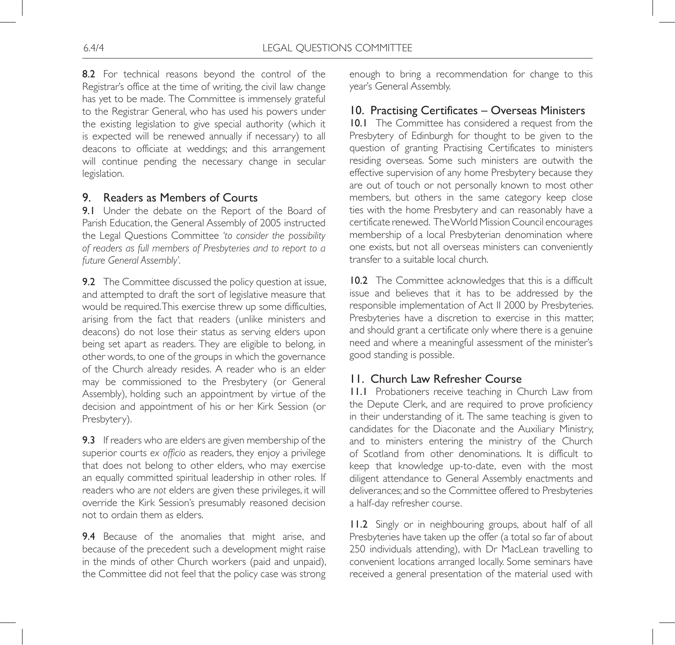8.2 For technical reasons beyond the control of the Registrar's office at the time of writing, the civil law change has yet to be made. The Committee is immensely grateful to the Registrar General, who has used his powers under the existing legislation to give special authority (which it is expected will be renewed annually if necessary) to all deacons to officiate at weddings; and this arrangement will continue pending the necessary change in secular legislation.

## 9. Readers as Members of Courts

9.1 Under the debate on the Report of the Board of Parish Education, the General Assembly of 2005 instructed the Legal Questions Committee *'to consider the possibility of readers as full members of Presbyteries and to report to a future General Assembly'.*

9.2 The Committee discussed the policy question at issue, and attempted to draft the sort of legislative measure that would be required. This exercise threw up some difficulties, arising from the fact that readers (unlike ministers and deacons) do not lose their status as serving elders upon being set apart as readers. They are eligible to belong, in other words, to one of the groups in which the governance of the Church already resides. A reader who is an elder may be commissioned to the Presbytery (or General Assembly), holding such an appointment by virtue of the decision and appointment of his or her Kirk Session (or Presbytery).

9.3 If readers who are elders are given membership of the superior courts *ex officio* as readers, they enjoy a privilege that does not belong to other elders, who may exercise an equally committed spiritual leadership in other roles. If readers who are *not* elders are given these privileges, it will override the Kirk Session's presumably reasoned decision not to ordain them as elders.

9.4 Because of the anomalies that might arise, and because of the precedent such a development might raise in the minds of other Church workers (paid and unpaid), the Committee did not feel that the policy case was strong

enough to bring a recommendation for change to this year's General Assembly.

## 10. Practising Certificates – Overseas Ministers

10.1 The Committee has considered a request from the Presbytery of Edinburgh for thought to be given to the question of granting Practising Certificates to ministers residing overseas. Some such ministers are outwith the effective supervision of any home Presbytery because they are out of touch or not personally known to most other members, but others in the same category keep close ties with the home Presbytery and can reasonably have a certificate renewed. The World Mission Council encourages membership of a local Presbyterian denomination where one exists, but not all overseas ministers can conveniently transfer to a suitable local church.

10.2 The Committee acknowledges that this is a difficult issue and believes that it has to be addressed by the responsible implementation of Act II 2000 by Presbyteries. Presbyteries have a discretion to exercise in this matter, and should grant a certificate only where there is a genuine need and where a meaningful assessment of the minister's good standing is possible.

# 11. Church Law Refresher Course

11.1 Probationers receive teaching in Church Law from the Depute Clerk, and are required to prove proficiency in their understanding of it. The same teaching is given to candidates for the Diaconate and the Auxiliary Ministry, and to ministers entering the ministry of the Church of Scotland from other denominations. It is difficult to keep that knowledge up-to-date, even with the most diligent attendance to General Assembly enactments and deliverances; and so the Committee offered to Presbyteries a half-day refresher course.

11.2 Singly or in neighbouring groups, about half of all Presbyteries have taken up the offer (a total so far of about 250 individuals attending), with Dr MacLean travelling to convenient locations arranged locally. Some seminars have received a general presentation of the material used with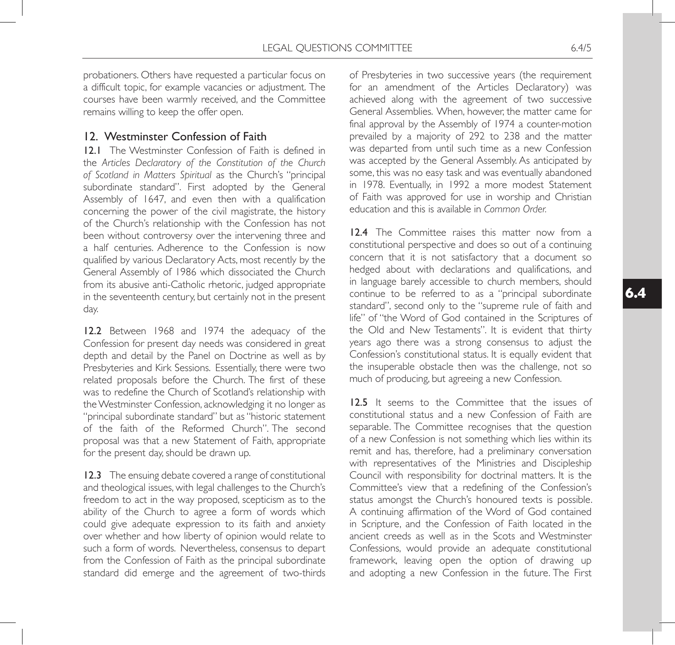probationers. Others have requested a particular focus on a difficult topic, for example vacancies or adjustment. The courses have been warmly received, and the Committee remains willing to keep the offer open.

### 12. Westminster Confession of Faith

12.1 The Westminster Confession of Faith is defined in the *Articles Declaratory of the Constitution of the Church of Scotland in Matters Spiritual* as the Church's "principal subordinate standard". First adopted by the General Assembly of 1647, and even then with a qualification concerning the power of the civil magistrate, the history of the Church's relationship with the Confession has not been without controversy over the intervening three and a half centuries. Adherence to the Confession is now qualified by various Declaratory Acts, most recently by the General Assembly of 1986 which dissociated the Church from its abusive anti-Catholic rhetoric, judged appropriate in the seventeenth century, but certainly not in the present day.

12.2 Between 1968 and 1974 the adequacy of the Confession for present day needs was considered in great depth and detail by the Panel on Doctrine as well as by Presbyteries and Kirk Sessions. Essentially, there were two related proposals before the Church. The first of these was to redefine the Church of Scotland's relationship with the Westminster Confession, acknowledging it no longer as "principal subordinate standard" but as "historic statement of the faith of the Reformed Church". The second proposal was that a new Statement of Faith, appropriate for the present day, should be drawn up.

12.3 The ensuing debate covered a range of constitutional and theological issues, with legal challenges to the Church's freedom to act in the way proposed, scepticism as to the ability of the Church to agree a form of words which could give adequate expression to its faith and anxiety over whether and how liberty of opinion would relate to such a form of words. Nevertheless, consensus to depart from the Confession of Faith as the principal subordinate standard did emerge and the agreement of two-thirds of Presbyteries in two successive years (the requirement for an amendment of the Articles Declaratory) was achieved along with the agreement of two successive General Assemblies. When, however, the matter came for final approval by the Assembly of 1974 a counter-motion prevailed by a majority of 292 to 238 and the matter was departed from until such time as a new Confession was accepted by the General Assembly. As anticipated by some, this was no easy task and was eventually abandoned in 1978. Eventually, in 1992 a more modest Statement of Faith was approved for use in worship and Christian education and this is available in *Common Order.*

12.4 The Committee raises this matter now from a constitutional perspective and does so out of a continuing concern that it is not satisfactory that a document so hedged about with declarations and qualifications, and in language barely accessible to church members, should continue to be referred to as a "principal subordinate standard", second only to the "supreme rule of faith and life" of "the Word of God contained in the Scriptures of the Old and New Testaments". It is evident that thirty years ago there was a strong consensus to adjust the Confession's constitutional status. It is equally evident that the insuperable obstacle then was the challenge, not so much of producing, but agreeing a new Confession.

12.5 It seems to the Committee that the issues of constitutional status and a new Confession of Faith are separable. The Committee recognises that the question of a new Confession is not something which lies within its remit and has, therefore, had a preliminary conversation with representatives of the Ministries and Discipleship Council with responsibility for doctrinal matters. It is the Committee's view that a redefining of the Confession's status amongst the Church's honoured texts is possible. A continuing affirmation of the Word of God contained in Scripture, and the Confession of Faith located in the ancient creeds as well as in the Scots and Westminster Confessions, would provide an adequate constitutional framework, leaving open the option of drawing up and adopting a new Confession in the future. The First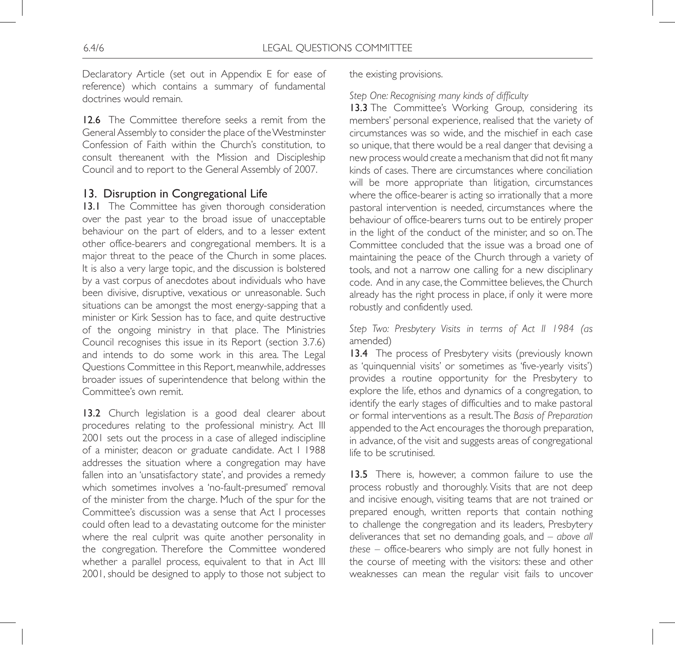Declaratory Article (set out in Appendix E for ease of reference) which contains a summary of fundamental doctrines would remain.

12.6 The Committee therefore seeks a remit from the General Assembly to consider the place of the Westminster Confession of Faith within the Church's constitution, to consult thereanent with the Mission and Discipleship Council and to report to the General Assembly of 2007.

### 13. Disruption in Congregational Life

13.1 The Committee has given thorough consideration over the past year to the broad issue of unacceptable behaviour on the part of elders, and to a lesser extent other office-bearers and congregational members. It is a major threat to the peace of the Church in some places. It is also a very large topic, and the discussion is bolstered by a vast corpus of anecdotes about individuals who have been divisive, disruptive, vexatious or unreasonable. Such situations can be amongst the most energy-sapping that a minister or Kirk Session has to face, and quite destructive of the ongoing ministry in that place. The Ministries Council recognises this issue in its Report (section 3.7.6) and intends to do some work in this area. The Legal Questions Committee in this Report, meanwhile, addresses broader issues of superintendence that belong within the Committee's own remit.

13.2 Church legislation is a good deal clearer about procedures relating to the professional ministry. Act III 2001 sets out the process in a case of alleged indiscipline of a minister, deacon or graduate candidate. Act I 1988 addresses the situation where a congregation may have fallen into an 'unsatisfactory state', and provides a remedy which sometimes involves a 'no-fault-presumed' removal of the minister from the charge. Much of the spur for the Committee's discussion was a sense that Act I processes could often lead to a devastating outcome for the minister where the real culprit was quite another personality in the congregation. Therefore the Committee wondered whether a parallel process, equivalent to that in Act III 2001, should be designed to apply to those not subject to

the existing provisions.

### *Step One: Recognising many kinds of difficulty*

13.3 The Committee's Working Group, considering its members' personal experience, realised that the variety of circumstances was so wide, and the mischief in each case so unique, that there would be a real danger that devising a new process would create a mechanism that did not fit many kinds of cases. There are circumstances where conciliation will be more appropriate than litigation, circumstances where the office-bearer is acting so irrationally that a more pastoral intervention is needed, circumstances where the behaviour of office-bearers turns out to be entirely proper in the light of the conduct of the minister, and so on. The Committee concluded that the issue was a broad one of maintaining the peace of the Church through a variety of tools, and not a narrow one calling for a new disciplinary code. And in any case, the Committee believes, the Church already has the right process in place, if only it were more robustly and confidently used.

*Step Two: Presbytery Visits in terms of Act II 1984 (as*  amended)

13.4 The process of Presbytery visits (previously known as 'quinquennial visits' or sometimes as 'five-yearly visits') provides a routine opportunity for the Presbytery to explore the life, ethos and dynamics of a congregation, to identify the early stages of difficulties and to make pastoral or formal interventions as a result. The *Basis of Preparation* appended to the Act encourages the thorough preparation, in advance, of the visit and suggests areas of congregational life to be scrutinised.

13.5 There is, however, a common failure to use the process robustly and thoroughly. Visits that are not deep and incisive enough, visiting teams that are not trained or prepared enough, written reports that contain nothing to challenge the congregation and its leaders, Presbytery deliverances that set no demanding goals, and – *above all these* – office-bearers who simply are not fully honest in the course of meeting with the visitors: these and other weaknesses can mean the regular visit fails to uncover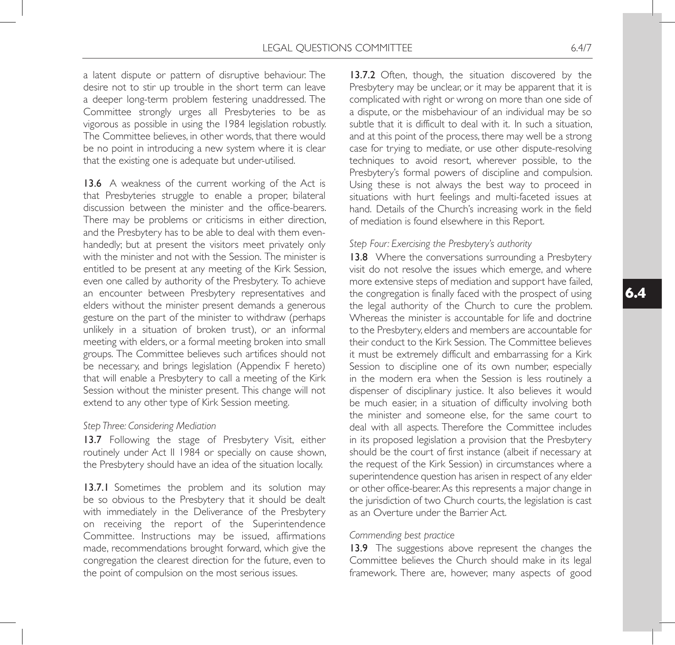a latent dispute or pattern of disruptive behaviour. The desire not to stir up trouble in the short term can leave a deeper long-term problem festering unaddressed. The Committee strongly urges all Presbyteries to be as vigorous as possible in using the 1984 legislation robustly. The Committee believes, in other words, that there would be no point in introducing a new system where it is clear that the existing one is adequate but under-utilised.

13.6 A weakness of the current working of the Act is that Presbyteries struggle to enable a proper, bilateral discussion between the minister and the office-bearers. There may be problems or criticisms in either direction, and the Presbytery has to be able to deal with them evenhandedly; but at present the visitors meet privately only with the minister and not with the Session. The minister is entitled to be present at any meeting of the Kirk Session, even one called by authority of the Presbytery. To achieve an encounter between Presbytery representatives and elders without the minister present demands a generous gesture on the part of the minister to withdraw (perhaps unlikely in a situation of broken trust), or an informal meeting with elders, or a formal meeting broken into small groups. The Committee believes such artifices should not be necessary, and brings legislation (Appendix F hereto) that will enable a Presbytery to call a meeting of the Kirk Session without the minister present. This change will not extend to any other type of Kirk Session meeting.

#### *Step Three: Considering Mediation*

13.7 Following the stage of Presbytery Visit, either routinely under Act II 1984 or specially on cause shown, the Presbytery should have an idea of the situation locally.

13.7.1 Sometimes the problem and its solution may be so obvious to the Presbytery that it should be dealt with immediately in the Deliverance of the Presbytery on receiving the report of the Superintendence Committee. Instructions may be issued, affirmations made, recommendations brought forward, which give the congregation the clearest direction for the future, even to the point of compulsion on the most serious issues.

13.7.2 Often, though, the situation discovered by the Presbytery may be unclear, or it may be apparent that it is complicated with right or wrong on more than one side of a dispute, or the misbehaviour of an individual may be so subtle that it is difficult to deal with it. In such a situation, and at this point of the process, there may well be a strong case for trying to mediate, or use other dispute-resolving techniques to avoid resort, wherever possible, to the Presbytery's formal powers of discipline and compulsion. Using these is not always the best way to proceed in situations with hurt feelings and multi-faceted issues at hand. Details of the Church's increasing work in the field of mediation is found elsewhere in this Report.

#### *Step Four: Exercising the Presbytery's authority*

13.8 Where the conversations surrounding a Presbytery visit do not resolve the issues which emerge, and where more extensive steps of mediation and support have failed, the congregation is finally faced with the prospect of using the legal authority of the Church to cure the problem. Whereas the minister is accountable for life and doctrine to the Presbytery, elders and members are accountable for their conduct to the Kirk Session. The Committee believes it must be extremely difficult and embarrassing for a Kirk Session to discipline one of its own number, especially in the modern era when the Session is less routinely a dispenser of disciplinary justice. It also believes it would be much easier, in a situation of difficulty involving both the minister and someone else, for the same court to deal with all aspects. Therefore the Committee includes in its proposed legislation a provision that the Presbytery should be the court of first instance (albeit if necessary at the request of the Kirk Session) in circumstances where a superintendence question has arisen in respect of any elder or other office-bearer. As this represents a major change in the jurisdiction of two Church courts, the legislation is cast as an Overture under the Barrier Act.

#### *Commending best practice*

13.9 The suggestions above represent the changes the Committee believes the Church should make in its legal framework. There are, however, many aspects of good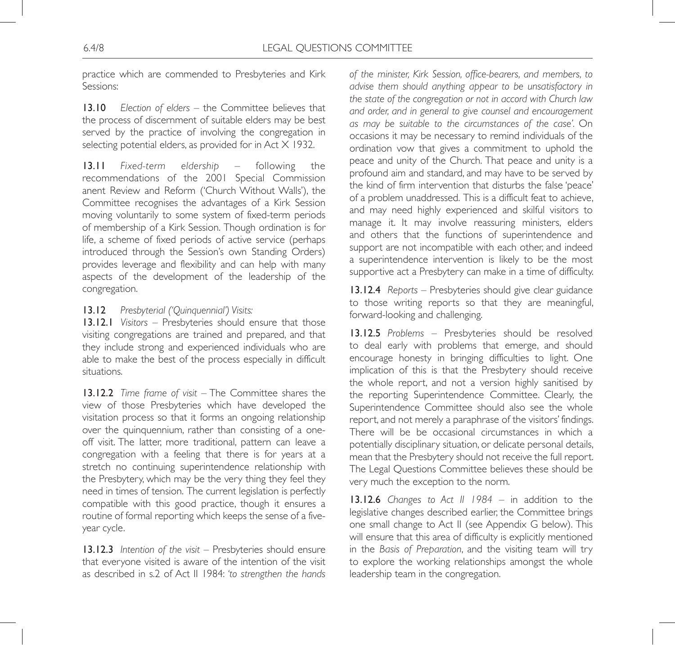practice which are commended to Presbyteries and Kirk Sessions:

13.10 *Election of elders* – the Committee believes that the process of discernment of suitable elders may be best served by the practice of involving the congregation in selecting potential elders, as provided for in Act X 1932.

13.11 *Fixed-term eldership* – following the recommendations of the 2001 Special Commission anent Review and Reform ('Church Without Walls'), the Committee recognises the advantages of a Kirk Session moving voluntarily to some system of fixed-term periods of membership of a Kirk Session. Though ordination is for life, a scheme of fixed periods of active service (perhaps introduced through the Session's own Standing Orders) provides leverage and flexibility and can help with many aspects of the development of the leadership of the congregation.

### 13.12 *Presbyterial ('Quinquennial') Visits:*

13.12.1 *Visitors* – Presbyteries should ensure that those visiting congregations are trained and prepared, and that they include strong and experienced individuals who are able to make the best of the process especially in difficult situations.

13.12.2 *Time frame of visit* – The Committee shares the view of those Presbyteries which have developed the visitation process so that it forms an ongoing relationship over the quinquennium, rather than consisting of a oneoff visit. The latter, more traditional, pattern can leave a congregation with a feeling that there is for years at a stretch no continuing superintendence relationship with the Presbytery, which may be the very thing they feel they need in times of tension. The current legislation is perfectly compatible with this good practice, though it ensures a routine of formal reporting which keeps the sense of a fiveyear cycle.

13.12.3 *Intention of the visit* – Presbyteries should ensure that everyone visited is aware of the intention of the visit as described in s.2 of Act II 1984: *'to strengthen the hands*  *of the minister, Kirk Session, office-bearers, and members, to advise them should anything appear to be unsatisfactory in the state of the congregation or not in accord with Church law and order, and in general to give counsel and encouragement as may be suitable to the circumstances of the case'.* On occasions it may be necessary to remind individuals of the ordination vow that gives a commitment to uphold the peace and unity of the Church. That peace and unity is a profound aim and standard, and may have to be served by the kind of firm intervention that disturbs the false 'peace' of a problem unaddressed. This is a difficult feat to achieve, and may need highly experienced and skilful visitors to manage it. It may involve reassuring ministers, elders and others that the functions of superintendence and support are not incompatible with each other, and indeed a superintendence intervention is likely to be the most supportive act a Presbytery can make in a time of difficulty.

13.12.4 *Reports* – Presbyteries should give clear guidance to those writing reports so that they are meaningful, forward-looking and challenging.

13.12.5 *Problems* – Presbyteries should be resolved to deal early with problems that emerge, and should encourage honesty in bringing difficulties to light. One implication of this is that the Presbytery should receive the whole report, and not a version highly sanitised by the reporting Superintendence Committee. Clearly, the Superintendence Committee should also see the whole report, and not merely a paraphrase of the visitors' findings. There will be be occasional circumstances in which a potentially disciplinary situation, or delicate personal details, mean that the Presbytery should not receive the full report. The Legal Questions Committee believes these should be very much the exception to the norm.

13.12.6 *Changes to Act II 1984* – in addition to the legislative changes described earlier, the Committee brings one small change to Act II (see Appendix G below). This will ensure that this area of difficulty is explicitly mentioned in the *Basis of Preparation*, and the visiting team will try to explore the working relationships amongst the whole leadership team in the congregation.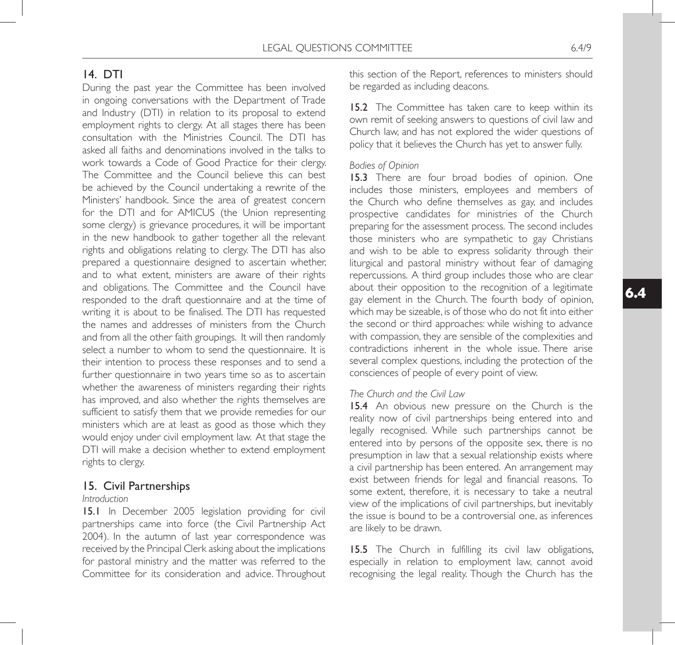# 14. DTI

During the past year the Committee has been involved in ongoing conversations with the Department of Trade and Industry (DTI) in relation to its proposal to extend employment rights to clergy. At all stages there has been consultation with the Ministries Council. The DTI has asked all faiths and denominations involved in the talks to work towards a Code of Good Practice for their clergy. The Committee and the Council believe this can best be achieved by the Council undertaking a rewrite of the Ministers' handbook. Since the area of greatest concern for the DTI and for AMICUS (the Union representing some clergy) is grievance procedures, it will be important in the new handbook to gather together all the relevant rights and obligations relating to clergy. The DTI has also prepared a questionnaire designed to ascertain whether, and to what extent, ministers are aware of their rights and obligations. The Committee and the Council have responded to the draft questionnaire and at the time of writing it is about to be finalised. The DTI has requested the names and addresses of ministers from the Church and from all the other faith groupings. It will then randomly select a number to whom to send the questionnaire. It is their intention to process these responses and to send a further questionnaire in two years time so as to ascertain whether the awareness of ministers regarding their rights has improved, and also whether the rights themselves are sufficient to satisfy them that we provide remedies for our ministers which are at least as good as those which they would enjoy under civil employment law. At that stage the DTI will make a decision whether to extend employment rights to clergy.

### 15. Civil Partnerships

#### *Introduction*

15.1 In December 2005 legislation providing for civil partnerships came into force (the Civil Partnership Act 2004). In the autumn of last year correspondence was received by the Principal Clerk asking about the implications for pastoral ministry and the matter was referred to the Committee for its consideration and advice. Throughout this section of the Report, references to ministers should be regarded as including deacons.

15.2 The Committee has taken care to keep within its own remit of seeking answers to questions of civil law and Church law, and has not explored the wider questions of policy that it believes the Church has yet to answer fully.

### *Bodies of Opinion*

15.3 There are four broad bodies of opinion. One includes those ministers, employees and members of the Church who define themselves as gay, and includes prospective candidates for ministries of the Church preparing for the assessment process. The second includes those ministers who are sympathetic to gay Christians and wish to be able to express solidarity through their liturgical and pastoral ministry without fear of damaging repercussions. A third group includes those who are clear about their opposition to the recognition of a legitimate gay element in the Church. The fourth body of opinion, which may be sizeable, is of those who do not fit into either the second or third approaches: while wishing to advance with compassion, they are sensible of the complexities and contradictions inherent in the whole issue. There arise several complex questions, including the protection of the consciences of people of every point of view.

### *The Church and the Civil Law*

15.4 An obvious new pressure on the Church is the reality now of civil partnerships being entered into and legally recognised. While such partnerships cannot be entered into by persons of the opposite sex, there is no presumption in law that a sexual relationship exists where a civil partnership has been entered. An arrangement may exist between friends for legal and financial reasons. To some extent, therefore, it is necessary to take a neutral view of the implications of civil partnerships, but inevitably the issue is bound to be a controversial one, as inferences are likely to be drawn.

15.5 The Church in fulfilling its civil law obligations, especially in relation to employment law, cannot avoid recognising the legal reality. Though the Church has the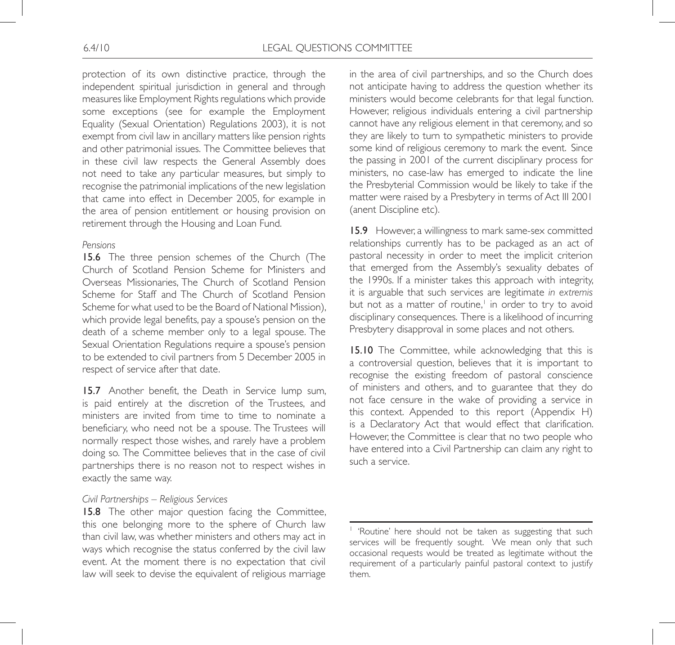protection of its own distinctive practice, through the independent spiritual jurisdiction in general and through measures like Employment Rights regulations which provide some exceptions (see for example the Employment Equality (Sexual Orientation) Regulations 2003), it is not exempt from civil law in ancillary matters like pension rights and other patrimonial issues. The Committee believes that in these civil law respects the General Assembly does not need to take any particular measures, but simply to recognise the patrimonial implications of the new legislation that came into effect in December 2005, for example in the area of pension entitlement or housing provision on retirement through the Housing and Loan Fund.

#### *Pensions*

15.6 The three pension schemes of the Church (The Church of Scotland Pension Scheme for Ministers and Overseas Missionaries, The Church of Scotland Pension Scheme for Staff and The Church of Scotland Pension Scheme for what used to be the Board of National Mission), which provide legal benefits, pay a spouse's pension on the death of a scheme member only to a legal spouse. The Sexual Orientation Regulations require a spouse's pension to be extended to civil partners from 5 December 2005 in respect of service after that date.

15.7 Another benefit, the Death in Service lump sum, is paid entirely at the discretion of the Trustees, and ministers are invited from time to time to nominate a beneficiary, who need not be a spouse. The Trustees will normally respect those wishes, and rarely have a problem doing so. The Committee believes that in the case of civil partnerships there is no reason not to respect wishes in exactly the same way.

#### *Civil Partnerships – Religious Services*

15.8 The other major question facing the Committee, this one belonging more to the sphere of Church law than civil law, was whether ministers and others may act in ways which recognise the status conferred by the civil law event. At the moment there is no expectation that civil law will seek to devise the equivalent of religious marriage in the area of civil partnerships, and so the Church does not anticipate having to address the question whether its ministers would become celebrants for that legal function. However, religious individuals entering a civil partnership cannot have any religious element in that ceremony, and so they are likely to turn to sympathetic ministers to provide some kind of religious ceremony to mark the event. Since the passing in 2001 of the current disciplinary process for ministers, no case-law has emerged to indicate the line the Presbyterial Commission would be likely to take if the matter were raised by a Presbytery in terms of Act III 2001 (anent Discipline etc).

15.9 However, a willingness to mark same-sex committed relationships currently has to be packaged as an act of pastoral necessity in order to meet the implicit criterion that emerged from the Assembly's sexuality debates of the 1990s. If a minister takes this approach with integrity, it is arguable that such services are legitimate *in extremis* but not as a matter of routine,<sup>1</sup> in order to try to avoid disciplinary consequences. There is a likelihood of incurring Presbytery disapproval in some places and not others.

15.10 The Committee, while acknowledging that this is a controversial question, believes that it is important to recognise the existing freedom of pastoral conscience of ministers and others, and to guarantee that they do not face censure in the wake of providing a service in this context. Appended to this report (Appendix H) is a Declaratory Act that would effect that clarification. However, the Committee is clear that no two people who have entered into a Civil Partnership can claim any right to such a service.

<sup>&</sup>lt;sup>1</sup> 'Routine' here should not be taken as suggesting that such services will be frequently sought. We mean only that such occasional requests would be treated as legitimate without the requirement of a particularly painful pastoral context to justify them.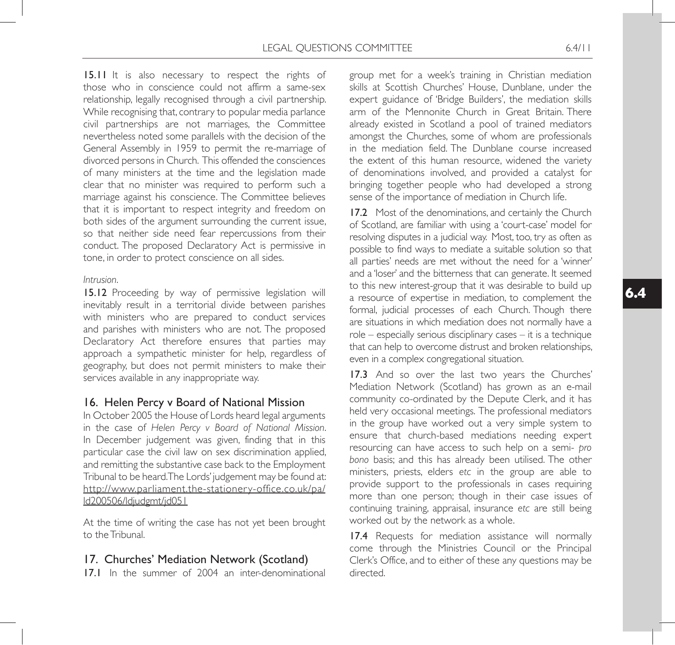15.11 It is also necessary to respect the rights of those who in conscience could not affirm a same-sex relationship, legally recognised through a civil partnership. While recognising that, contrary to popular media parlance civil partnerships are not marriages, the Committee nevertheless noted some parallels with the decision of the General Assembly in 1959 to permit the re-marriage of divorced persons in Church. This offended the consciences of many ministers at the time and the legislation made clear that no minister was required to perform such a marriage against his conscience. The Committee believes that it is important to respect integrity and freedom on both sides of the argument surrounding the current issue, so that neither side need fear repercussions from their conduct. The proposed Declaratory Act is permissive in tone, in order to protect conscience on all sides.

### *Intrusion*.

15.12 Proceeding by way of permissive legislation will inevitably result in a territorial divide between parishes with ministers who are prepared to conduct services and parishes with ministers who are not. The proposed Declaratory Act therefore ensures that parties may approach a sympathetic minister for help, regardless of geography, but does not permit ministers to make their services available in any inappropriate way.

# 16. Helen Percy v Board of National Mission

In October 2005 the House of Lords heard legal arguments in the case of *Helen Percy v Board of National Mission*. In December judgement was given, finding that in this particular case the civil law on sex discrimination applied, and remitting the substantive case back to the Employment Tribunal to be heard. The Lords' judgement may be found at: http://www.parliament.the-stationery-office.co.uk/pa/ ld200506/ldjudgmt/jd051

At the time of writing the case has not yet been brought to the Tribunal.

# 17. Churches' Mediation Network (Scotland)

17.1 In the summer of 2004 an inter-denominational

group met for a week's training in Christian mediation skills at Scottish Churches' House, Dunblane, under the expert guidance of 'Bridge Builders', the mediation skills arm of the Mennonite Church in Great Britain. There already existed in Scotland a pool of trained mediators amongst the Churches, some of whom are professionals in the mediation field. The Dunblane course increased the extent of this human resource, widened the variety of denominations involved, and provided a catalyst for bringing together people who had developed a strong sense of the importance of mediation in Church life.

17.2 Most of the denominations, and certainly the Church of Scotland, are familiar with using a 'court-case' model for resolving disputes in a judicial way. Most, too, try as often as possible to find ways to mediate a suitable solution so that all parties' needs are met without the need for a 'winner' and a 'loser' and the bitterness that can generate. It seemed to this new interest-group that it was desirable to build up a resource of expertise in mediation, to complement the formal, judicial processes of each Church. Though there are situations in which mediation does not normally have a role – especially serious disciplinary cases – it is a technique that can help to overcome distrust and broken relationships, even in a complex congregational situation.

17.3 And so over the last two years the Churches' Mediation Network (Scotland) has grown as an e-mail community co-ordinated by the Depute Clerk, and it has held very occasional meetings. The professional mediators in the group have worked out a very simple system to ensure that church-based mediations needing expert resourcing can have access to such help on a semi- *pro bono* basis; and this has already been utilised. The other ministers, priests, elders *etc* in the group are able to provide support to the professionals in cases requiring more than one person; though in their case issues of continuing training, appraisal, insurance *etc* are still being worked out by the network as a whole.

17.4 Requests for mediation assistance will normally come through the Ministries Council or the Principal Clerk's Office, and to either of these any questions may be directed.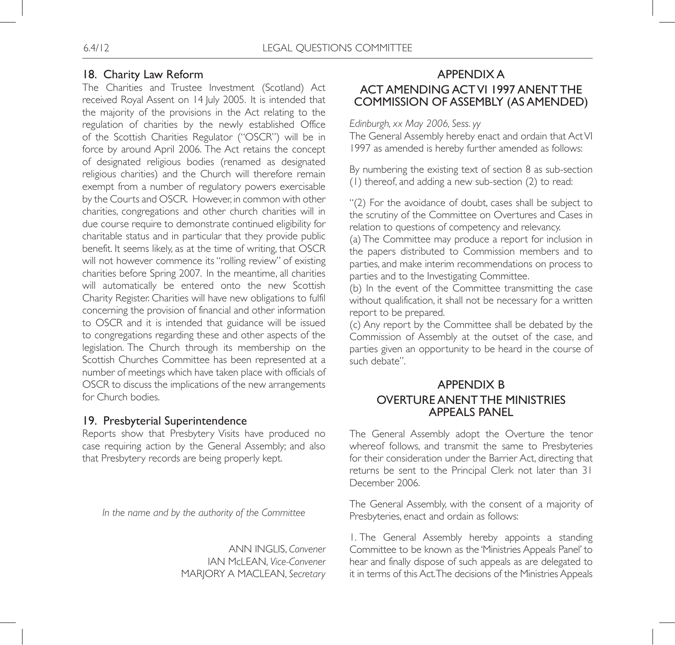# 18. Charity Law Reform

The Charities and Trustee Investment (Scotland) Act received Royal Assent on 14 July 2005. It is intended that the majority of the provisions in the Act relating to the regulation of charities by the newly established Office of the Scottish Charities Regulator ("OSCR") will be in force by around April 2006. The Act retains the concept of designated religious bodies (renamed as designated religious charities) and the Church will therefore remain exempt from a number of regulatory powers exercisable by the Courts and OSCR. However, in common with other charities, congregations and other church charities will in due course require to demonstrate continued eligibility for charitable status and in particular that they provide public benefit. It seems likely, as at the time of writing, that OSCR will not however commence its "rolling review" of existing charities before Spring 2007. In the meantime, all charities will automatically be entered onto the new Scottish Charity Register. Charities will have new obligations to fulfil concerning the provision of financial and other information to OSCR and it is intended that guidance will be issued to congregations regarding these and other aspects of the legislation. The Church through its membership on the Scottish Churches Committee has been represented at a number of meetings which have taken place with officials of OSCR to discuss the implications of the new arrangements for Church bodies.

### 19. Presbyterial Superintendence

Reports show that Presbytery Visits have produced no case requiring action by the General Assembly; and also that Presbytery records are being properly kept.

*In the name and by the authority of the Committee*

ANN INGLIS, *Convener* IAN McLEAN, *Vice-Convener* MARJORY A MACLEAN, *Secretary*

# APPENDIX A ACT AMENDING ACT VI 1997 ANENT THE COMMISSION OF ASSEMBLY (AS AMENDED)

*Edinburgh, xx May 2006, Sess. yy*

The General Assembly hereby enact and ordain that Act VI 1997 as amended is hereby further amended as follows:

By numbering the existing text of section 8 as sub-section (1) thereof, and adding a new sub-section (2) to read:

"(2) For the avoidance of doubt, cases shall be subject to the scrutiny of the Committee on Overtures and Cases in relation to questions of competency and relevancy.

(a) The Committee may produce a report for inclusion in the papers distributed to Commission members and to parties, and make interim recommendations on process to parties and to the Investigating Committee.

(b) In the event of the Committee transmitting the case without qualification, it shall not be necessary for a written report to be prepared.

(c) Any report by the Committee shall be debated by the Commission of Assembly at the outset of the case, and parties given an opportunity to be heard in the course of such debate".

# APPENDIX B OVERTURE ANENT THE MINISTRIES APPEALS PANEL

The General Assembly adopt the Overture the tenor whereof follows, and transmit the same to Presbyteries for their consideration under the Barrier Act, directing that returns be sent to the Principal Clerk not later than 31 December 2006.

The General Assembly, with the consent of a majority of Presbyteries, enact and ordain as follows:

1. The General Assembly hereby appoints a standing Committee to be known as the 'Ministries Appeals Panel' to hear and finally dispose of such appeals as are delegated to it in terms of this Act. The decisions of the Ministries Appeals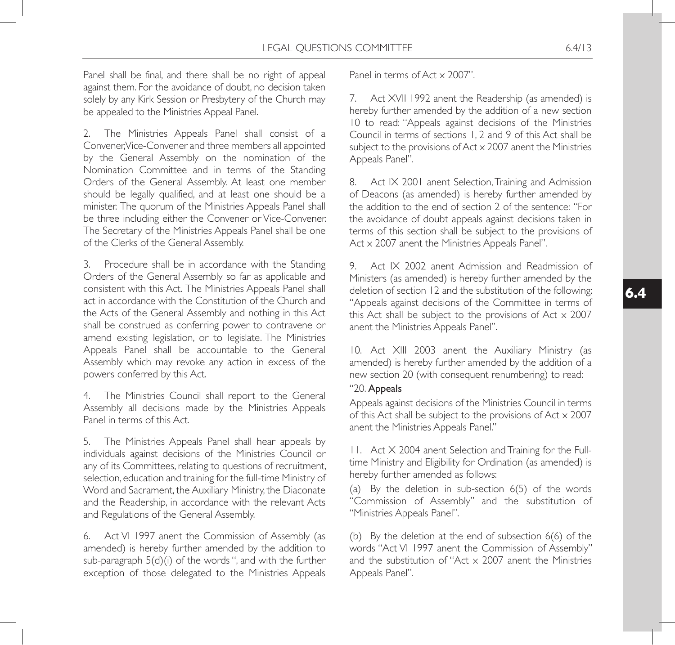Panel shall be final, and there shall be no right of appeal against them. For the avoidance of doubt, no decision taken solely by any Kirk Session or Presbytery of the Church may be appealed to the Ministries Appeal Panel.

2. The Ministries Appeals Panel shall consist of a Convener, Vice-Convener and three members all appointed by the General Assembly on the nomination of the Nomination Committee and in terms of the Standing Orders of the General Assembly. At least one member should be legally qualified, and at least one should be a minister. The quorum of the Ministries Appeals Panel shall be three including either the Convener or Vice-Convener. The Secretary of the Ministries Appeals Panel shall be one of the Clerks of the General Assembly.

3. Procedure shall be in accordance with the Standing Orders of the General Assembly so far as applicable and consistent with this Act. The Ministries Appeals Panel shall act in accordance with the Constitution of the Church and the Acts of the General Assembly and nothing in this Act shall be construed as conferring power to contravene or amend existing legislation, or to legislate. The Ministries Appeals Panel shall be accountable to the General Assembly which may revoke any action in excess of the powers conferred by this Act.

4. The Ministries Council shall report to the General Assembly all decisions made by the Ministries Appeals Panel in terms of this Act.

5. The Ministries Appeals Panel shall hear appeals by individuals against decisions of the Ministries Council or any of its Committees, relating to questions of recruitment, selection, education and training for the full-time Ministry of Word and Sacrament, the Auxiliary Ministry, the Diaconate and the Readership, in accordance with the relevant Acts and Regulations of the General Assembly.

6. Act VI 1997 anent the Commission of Assembly (as amended) is hereby further amended by the addition to sub-paragraph 5(d)(i) of the words ", and with the further exception of those delegated to the Ministries Appeals Panel in terms of Act x 2007".

7. Act XVII 1992 anent the Readership (as amended) is hereby further amended by the addition of a new section 10 to read: "Appeals against decisions of the Ministries Council in terms of sections 1, 2 and 9 of this Act shall be subject to the provisions of  $Act \times 2007$  anent the Ministries Appeals Panel".

8. Act IX 2001 anent Selection, Training and Admission of Deacons (as amended) is hereby further amended by the addition to the end of section 2 of the sentence: "For the avoidance of doubt appeals against decisions taken in terms of this section shall be subject to the provisions of Act x 2007 anent the Ministries Appeals Panel".

9. Act IX 2002 anent Admission and Readmission of Ministers (as amended) is hereby further amended by the deletion of section 12 and the substitution of the following: "Appeals against decisions of the Committee in terms of this Act shall be subject to the provisions of Act x 2007 anent the Ministries Appeals Panel".

10. Act XIII 2003 anent the Auxiliary Ministry (as amended) is hereby further amended by the addition of a new section 20 (with consequent renumbering) to read:

### "20. Appeals

Appeals against decisions of the Ministries Council in terms of this Act shall be subject to the provisions of Act x 2007 anent the Ministries Appeals Panel."

11. Act X 2004 anent Selection and Training for the Fulltime Ministry and Eligibility for Ordination (as amended) is hereby further amended as follows:

(a) By the deletion in sub-section 6(5) of the words "Commission of Assembly" and the substitution of "Ministries Appeals Panel".

(b) By the deletion at the end of subsection 6(6) of the words "Act VI 1997 anent the Commission of Assembly" and the substitution of "Act  $\times$  2007 anent the Ministries Appeals Panel".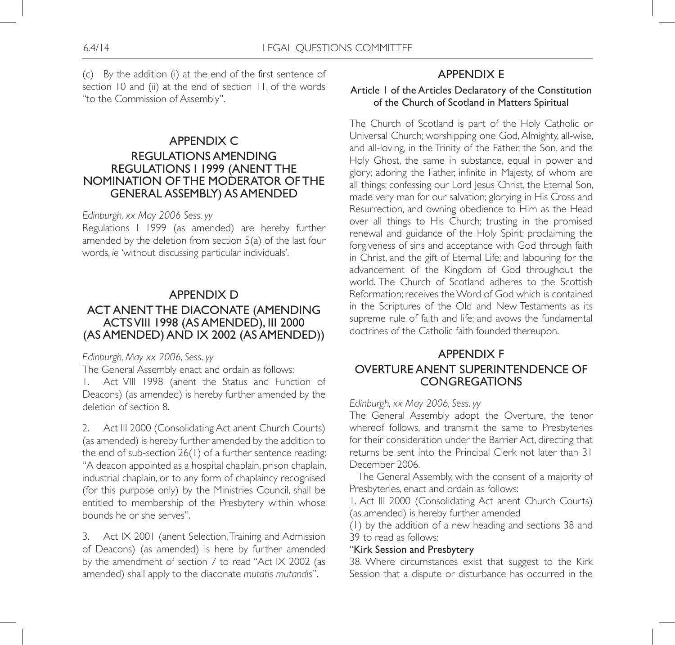(c) By the addition (i) at the end of the first sentence of section 10 and (ii) at the end of section 11, of the words "to the Commission of Assembly".

# APPENDIX C REGULATIONS AMENDING REGULATIONS I 1999 (ANENT THE NOMINATION OF THE MODERATOR OF THE GENERAL ASSEMBLY) AS AMENDED

### *Edinburgh, xx May 2006 Sess. yy*

Regulations I 1999 (as amended) are hereby further amended by the deletion from section 5(a) of the last four words, *ie* 'without discussing particular individuals'.

### APPENDIX D

# ACT ANENT THE DIACONATE (AMENDING ACTS VIII 1998 (AS AMENDED), III 2000 (AS AMENDED) AND IX 2002 (AS AMENDED))

### *Edinburgh, May xx 2006, Sess. yy*

The General Assembly enact and ordain as follows:

1. Act VIII 1998 (anent the Status and Function of Deacons) (as amended) is hereby further amended by the deletion of section 8.

2. Act III 2000 (Consolidating Act anent Church Courts) (as amended) is hereby further amended by the addition to the end of sub-section 26(1) of a further sentence reading: "A deacon appointed as a hospital chaplain, prison chaplain, industrial chaplain, or to any form of chaplaincy recognised (for this purpose only) by the Ministries Council, shall be entitled to membership of the Presbytery within whose bounds he or she serves".

3. Act IX 2001 (anent Selection, Training and Admission of Deacons) (as amended) is here by further amended by the amendment of section 7 to read "Act IX 2002 (as amended) shall apply to the diaconate *mutatis mutandis*".

# APPENDIX E

### Article 1 of the Articles Declaratory of the Constitution of the Church of Scotland in Matters Spiritual

The Church of Scotland is part of the Holy Catholic or Universal Church; worshipping one God, Almighty, all-wise, and all-loving, in the Trinity of the Father, the Son, and the Holy Ghost, the same in substance, equal in power and glory; adoring the Father, infinite in Majesty, of whom are all things; confessing our Lord Jesus Christ, the Eternal Son, made very man for our salvation; glorying in His Cross and Resurrection, and owning obedience to Him as the Head over all things to His Church; trusting in the promised renewal and guidance of the Holy Spirit; proclaiming the forgiveness of sins and acceptance with God through faith in Christ, and the gift of Eternal Life; and labouring for the advancement of the Kingdom of God throughout the world. The Church of Scotland adheres to the Scottish Reformation; receives the Word of God which is contained in the Scriptures of the Old and New Testaments as its supreme rule of faith and life; and avows the fundamental doctrines of the Catholic faith founded thereupon.

# APPENDIX F OVERTURE ANENT SUPERINTENDENCE OF **CONGREGATIONS**

### *Edinburgh, xx May 2006, Sess. yy*

The General Assembly adopt the Overture, the tenor whereof follows, and transmit the same to Presbyteries for their consideration under the Barrier Act, directing that returns be sent into the Principal Clerk not later than 31 December 2006.

 The General Assembly, with the consent of a majority of Presbyteries, enact and ordain as follows:

1. Act III 2000 (Consolidating Act anent Church Courts) (as amended) is hereby further amended

(1) by the addition of a new heading and sections 38 and 39 to read as follows:

#### "Kirk Session and Presbytery

38. Where circumstances exist that suggest to the Kirk Session that a dispute or disturbance has occurred in the